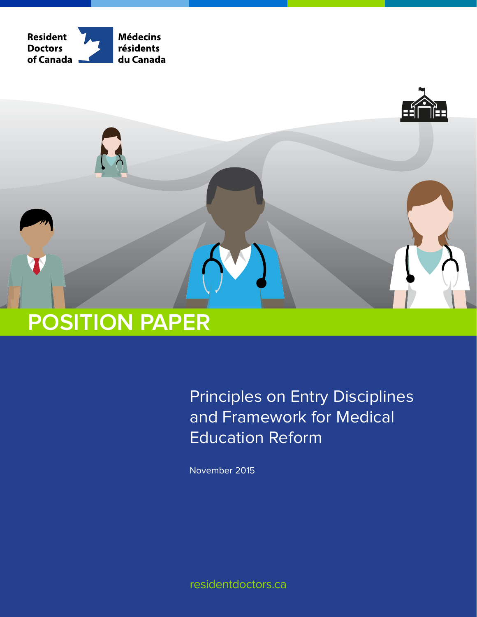



Principles on Entry Disciplines and Framework for Medical Education Reform

November 2015

residentdoctors.ca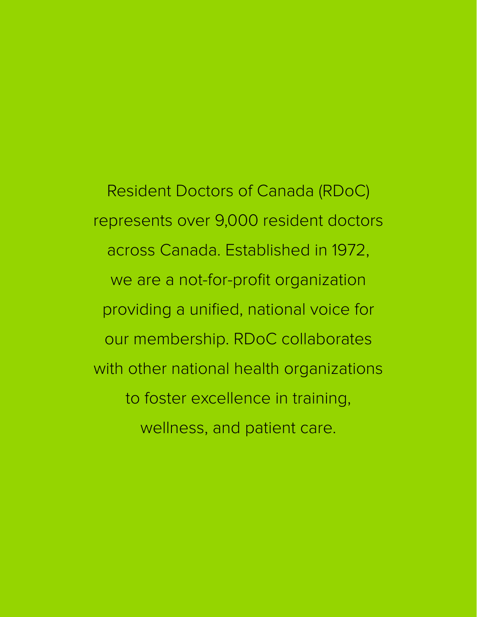Resident Doctors of Canada (RDoC) represents over 9,000 resident doctors across Canada. Established in 1972, we are a not-for-profit organization providing a unified, national voice for our membership. RDoC collaborates with other national health organizations to foster excellence in training, wellness, and patient care.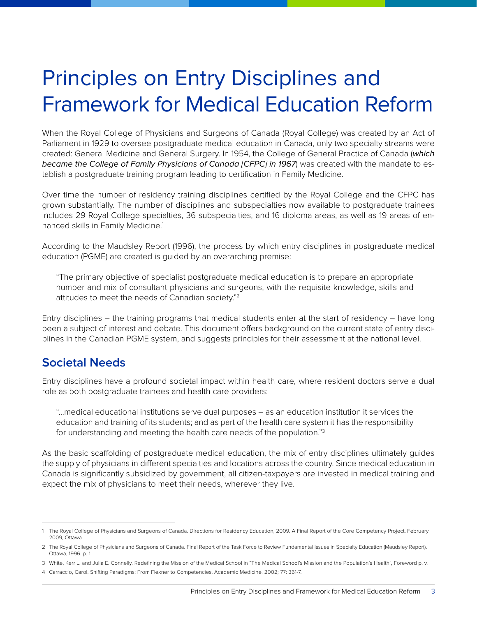# Principles on Entry Disciplines and Framework for Medical Education Reform

When the Royal College of Physicians and Surgeons of Canada (Royal College) was created by an Act of Parliament in 1929 to oversee postgraduate medical education in Canada, only two specialty streams were created: General Medicine and General Surgery. In 1954, the College of General Practice of Canada (*which became the College of Family Physicians of Canada [CFPC] in 1967*) was created with the mandate to establish a postgraduate training program leading to certification in Family Medicine.

Over time the number of residency training disciplines certified by the Royal College and the CFPC has grown substantially. The number of disciplines and subspecialties now available to postgraduate trainees includes 29 Royal College specialties, 36 subspecialties, and 16 diploma areas, as well as 19 areas of enhanced skills in Family Medicine.<sup>1</sup>

According to the Maudsley Report (1996), the process by which entry disciplines in postgraduate medical education (PGME) are created is guided by an overarching premise:

"The primary objective of specialist postgraduate medical education is to prepare an appropriate number and mix of consultant physicians and surgeons, with the requisite knowledge, skills and attitudes to meet the needs of Canadian society."2

Entry disciplines – the training programs that medical students enter at the start of residency – have long been a subject of interest and debate. This document offers background on the current state of entry disciplines in the Canadian PGME system, and suggests principles for their assessment at the national level.

### **Societal Needs**

Entry disciplines have a profound societal impact within health care, where resident doctors serve a dual role as both postgraduate trainees and health care providers:

"…medical educational institutions serve dual purposes – as an education institution it services the education and training of its students; and as part of the health care system it has the responsibility for understanding and meeting the health care needs of the population."3

As the basic scaffolding of postgraduate medical education, the mix of entry disciplines ultimately guides the supply of physicians in different specialties and locations across the country. Since medical education in Canada is significantly subsidized by government, all citizen-taxpayers are invested in medical training and expect the mix of physicians to meet their needs, wherever they live.

<sup>1</sup> The Royal College of Physicians and Surgeons of Canada. Directions for Residency Education, 2009. A Final Report of the Core Competency Project. February 2009, Ottawa.

<sup>2</sup> The Royal College of Physicians and Surgeons of Canada. Final Report of the Task Force to Review Fundamental Issues in Specialty Education (Maudsley Report). Ottawa, 1996. p. 1.

<sup>3</sup> White, Kerr L. and Julia E. Connelly. Redefining the Mission of the Medical School in "The Medical School's Mission and the Population's Health", Foreword p. v.

<sup>4</sup> Carraccio, Carol. Shifting Paradigms: From Flexner to Competencies. Academic Medicine. 2002; 77: 361-7.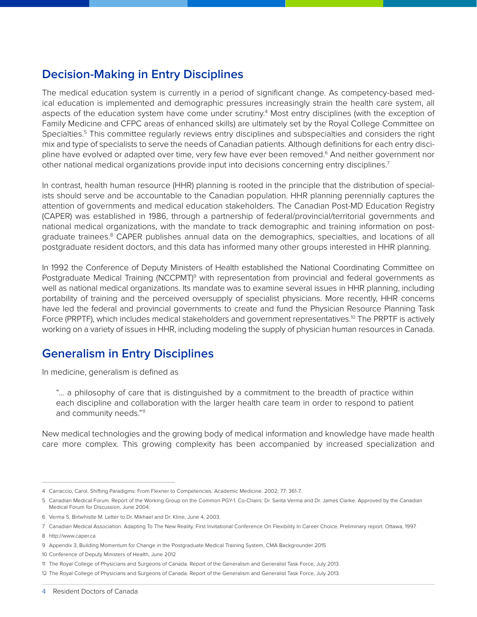# **Decision-Making in Entry Disciplines**

The medical education system is currently in a period of significant change. As competency-based medical education is implemented and demographic pressures increasingly strain the health care system, all aspects of the education system have come under scrutiny.<sup>4</sup> Most entry disciplines (with the exception of Family Medicine and CFPC areas of enhanced skills) are ultimately set by the Royal College Committee on Specialties.<sup>5</sup> This committee regularly reviews entry disciplines and subspecialties and considers the right mix and type of specialists to serve the needs of Canadian patients. Although definitions for each entry discipline have evolved or adapted over time, very few have ever been removed.<sup>6</sup> And neither government nor other national medical organizations provide input into decisions concerning entry disciplines.<sup>7</sup>

In contrast, health human resource (HHR) planning is rooted in the principle that the distribution of specialists should serve and be accountable to the Canadian population. HHR planning perennially captures the attention of governments and medical education stakeholders. The Canadian Post-MD Education Registry (CAPER) was established in 1986, through a partnership of federal/provincial/territorial governments and national medical organizations, with the mandate to track demographic and training information on postgraduate trainees.<sup>8</sup> CAPER publishes annual data on the demographics, specialties, and locations of all postgraduate resident doctors, and this data has informed many other groups interested in HHR planning.

In 1992 the Conference of Deputy Ministers of Health established the National Coordinating Committee on Postgraduate Medical Training (NCCPMT)<sup>9</sup> with representation from provincial and federal governments as well as national medical organizations. Its mandate was to examine several issues in HHR planning, including portability of training and the perceived oversupply of specialist physicians. More recently, HHR concerns have led the federal and provincial governments to create and fund the Physician Resource Planning Task Force (PRPTF), which includes medical stakeholders and government representatives.<sup>10</sup> The PRPTF is actively working on a variety of issues in HHR, including modeling the supply of physician human resources in Canada.

# **Generalism in Entry Disciplines**

In medicine, generalism is defined as

"… a philosophy of care that is distinguished by a commitment to the breadth of practice within each discipline and collaboration with the larger health care team in order to respond to patient and community needs."<sup>11</sup>

New medical technologies and the growing body of medical information and knowledge have made health care more complex. This growing complexity has been accompanied by increased specialization and

<sup>4</sup> Carraccio, Carol. Shifting Paradigms: From Flexner to Competencies. Academic Medicine. 2002; 77: 361-7.

<sup>5</sup> Canadian Medical Forum. Report of the Working Group on the Common PGY-1. Co-Chairs: Dr. Sarita Verma and Dr. James Clarke. Approved by the Canadian Medical Forum for Discussion, June 2004.

<sup>6</sup> Verma S, Birtwhistle M. Letter to Dr. Mikhael and Dr. Kline, June 4, 2003.

<sup>7</sup> Canadian Medical Association. Adapting To The New Reality. First Invitational Conference On Flexibility In Career Choice. Preliminary report. Ottawa, 1997.

<sup>8</sup> <http://www.caper.ca>

<sup>9</sup> Appendix 3, Building Momentum for Change in the Postgraduate Medical Training System, CMA Backgrounder 2015

<sup>10</sup> Conference of Deputy Ministers of Health, June 2012

<sup>11</sup> The Royal College of Physicians and Surgeons of Canada. Report of the Generalism and Generalist Task Force, July 2013.

<sup>12</sup> The Royal College of Physicians and Surgeons of Canada. Report of the Generalism and Generalist Task Force, July 2013.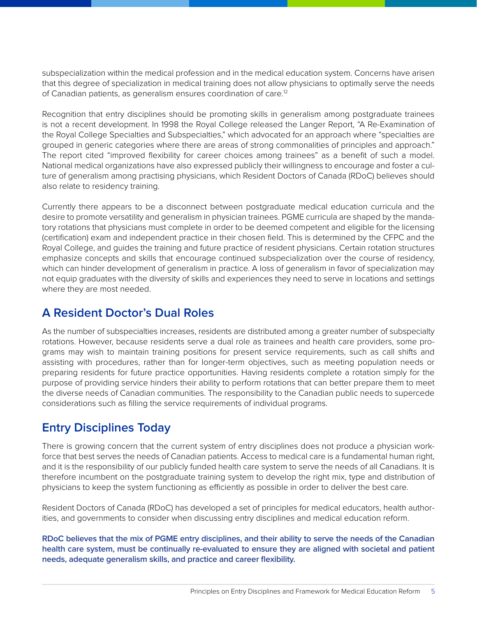subspecialization within the medical profession and in the medical education system. Concerns have arisen that this degree of specialization in medical training does not allow physicians to optimally serve the needs of Canadian patients, as generalism ensures coordination of care.12

Recognition that entry disciplines should be promoting skills in generalism among postgraduate trainees is not a recent development. In 1998 the Royal College released the Langer Report, "A Re-Examination of the Royal College Specialties and Subspecialties," which advocated for an approach where "specialties are grouped in generic categories where there are areas of strong commonalities of principles and approach." The report cited "improved flexibility for career choices among trainees" as a benefit of such a model. National medical organizations have also expressed publicly their willingness to encourage and foster a culture of generalism among practising physicians, which Resident Doctors of Canada (RDoC) believes should also relate to residency training.

Currently there appears to be a disconnect between postgraduate medical education curricula and the desire to promote versatility and generalism in physician trainees. PGME curricula are shaped by the mandatory rotations that physicians must complete in order to be deemed competent and eligible for the licensing (certification) exam and independent practice in their chosen field. This is determined by the CFPC and the Royal College, and guides the training and future practice of resident physicians. Certain rotation structures emphasize concepts and skills that encourage continued subspecialization over the course of residency, which can hinder development of generalism in practice. A loss of generalism in favor of specialization may not equip graduates with the diversity of skills and experiences they need to serve in locations and settings where they are most needed.

### **A Resident Doctor's Dual Roles**

As the number of subspecialties increases, residents are distributed among a greater number of subspecialty rotations. However, because residents serve a dual role as trainees and health care providers, some programs may wish to maintain training positions for present service requirements, such as call shifts and assisting with procedures, rather than for longer-term objectives, such as meeting population needs or preparing residents for future practice opportunities. Having residents complete a rotation simply for the purpose of providing service hinders their ability to perform rotations that can better prepare them to meet the diverse needs of Canadian communities. The responsibility to the Canadian public needs to supercede considerations such as filling the service requirements of individual programs.

# **Entry Disciplines Today**

There is growing concern that the current system of entry disciplines does not produce a physician workforce that best serves the needs of Canadian patients. Access to medical care is a fundamental human right, and it is the responsibility of our publicly funded health care system to serve the needs of all Canadians. It is therefore incumbent on the postgraduate training system to develop the right mix, type and distribution of physicians to keep the system functioning as efficiently as possible in order to deliver the best care.

Resident Doctors of Canada (RDoC) has developed a set of principles for medical educators, health authorities, and governments to consider when discussing entry disciplines and medical education reform.

**RDoC believes that the mix of PGME entry disciplines, and their ability to serve the needs of the Canadian health care system, must be continually re-evaluated to ensure they are aligned with societal and patient needs, adequate generalism skills, and practice and career flexibility.**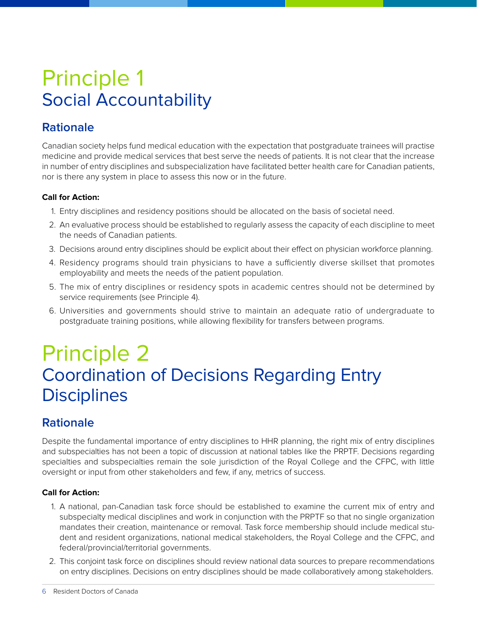# Principle 1 Social Accountability

# **Rationale**

Canadian society helps fund medical education with the expectation that postgraduate trainees will practise medicine and provide medical services that best serve the needs of patients. It is not clear that the increase in number of entry disciplines and subspecialization have facilitated better health care for Canadian patients, nor is there any system in place to assess this now or in the future.

#### **Call for Action:**

- 1. Entry disciplines and residency positions should be allocated on the basis of societal need.
- 2. An evaluative process should be established to regularly assess the capacity of each discipline to meet the needs of Canadian patients.
- 3. Decisions around entry disciplines should be explicit about their effect on physician workforce planning.
- 4. Residency programs should train physicians to have a sufficiently diverse skillset that promotes employability and meets the needs of the patient population.
- 5. The mix of entry disciplines or residency spots in academic centres should not be determined by service requirements (see Principle 4).
- 6. Universities and governments should strive to maintain an adequate ratio of undergraduate to postgraduate training positions, while allowing flexibility for transfers between programs.

# Principle 2 Coordination of Decisions Regarding Entry **Disciplines**

# **Rationale**

Despite the fundamental importance of entry disciplines to HHR planning, the right mix of entry disciplines and subspecialties has not been a topic of discussion at national tables like the PRPTF. Decisions regarding specialties and subspecialties remain the sole jurisdiction of the Royal College and the CFPC, with little oversight or input from other stakeholders and few, if any, metrics of success.

#### **Call for Action:**

- 1. A national, pan-Canadian task force should be established to examine the current mix of entry and subspecialty medical disciplines and work in conjunction with the PRPTF so that no single organization mandates their creation, maintenance or removal. Task force membership should include medical student and resident organizations, national medical stakeholders, the Royal College and the CFPC, and federal/provincial/territorial governments.
- 2. This conjoint task force on disciplines should review national data sources to prepare recommendations on entry disciplines. Decisions on entry disciplines should be made collaboratively among stakeholders.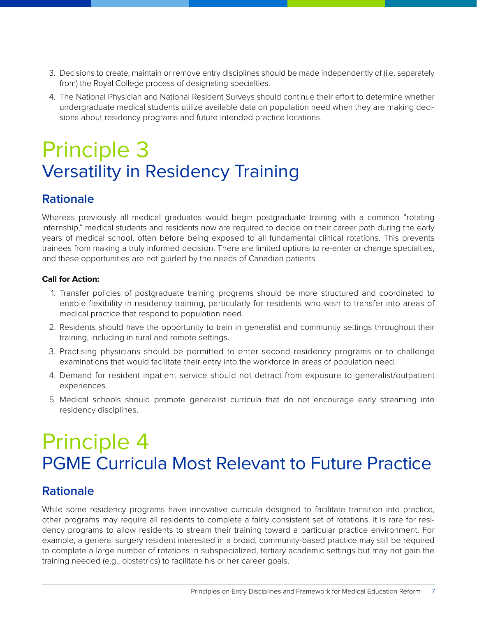- 3. Decisions to create, maintain or remove entry disciplines should be made independently of (i.e. separately from) the Royal College process of designating specialties.
- 4. The National Physician and National Resident Surveys should continue their effort to determine whether undergraduate medical students utilize available data on population need when they are making decisions about residency programs and future intended practice locations.

# Principle 3 Versatility in Residency Training

### **Rationale**

Whereas previously all medical graduates would begin postgraduate training with a common "rotating internship," medical students and residents now are required to decide on their career path during the early years of medical school, often before being exposed to all fundamental clinical rotations. This prevents trainees from making a truly informed decision. There are limited options to re-enter or change specialties, and these opportunities are not guided by the needs of Canadian patients.

#### **Call for Action:**

- 1. Transfer policies of postgraduate training programs should be more structured and coordinated to enable flexibility in residency training, particularly for residents who wish to transfer into areas of medical practice that respond to population need.
- 2. Residents should have the opportunity to train in generalist and community settings throughout their training, including in rural and remote settings.
- 3. Practising physicians should be permitted to enter second residency programs or to challenge examinations that would facilitate their entry into the workforce in areas of population need.
- 4. Demand for resident inpatient service should not detract from exposure to generalist/outpatient experiences.
- 5. Medical schools should promote generalist curricula that do not encourage early streaming into residency disciplines.

# Principle 4 PGME Curricula Most Relevant to Future Practice

### **Rationale**

While some residency programs have innovative curricula designed to facilitate transition into practice, other programs may require all residents to complete a fairly consistent set of rotations. It is rare for residency programs to allow residents to stream their training toward a particular practice environment. For example, a general surgery resident interested in a broad, community-based practice may still be required to complete a large number of rotations in subspecialized, tertiary academic settings but may not gain the training needed (e.g., obstetrics) to facilitate his or her career goals.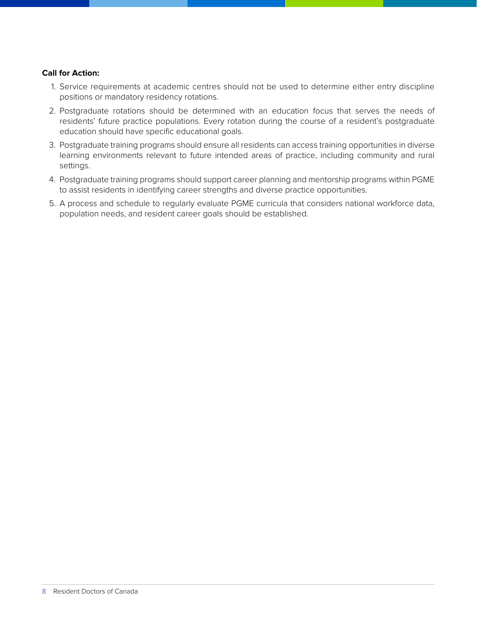#### **Call for Action:**

- 1. Service requirements at academic centres should not be used to determine either entry discipline positions or mandatory residency rotations.
- 2. Postgraduate rotations should be determined with an education focus that serves the needs of residents' future practice populations. Every rotation during the course of a resident's postgraduate education should have specific educational goals.
- 3. Postgraduate training programs should ensure all residents can access training opportunities in diverse learning environments relevant to future intended areas of practice, including community and rural settings.
- 4. Postgraduate training programs should support career planning and mentorship programs within PGME to assist residents in identifying career strengths and diverse practice opportunities.
- 5. A process and schedule to regularly evaluate PGME curricula that considers national workforce data, population needs, and resident career goals should be established.